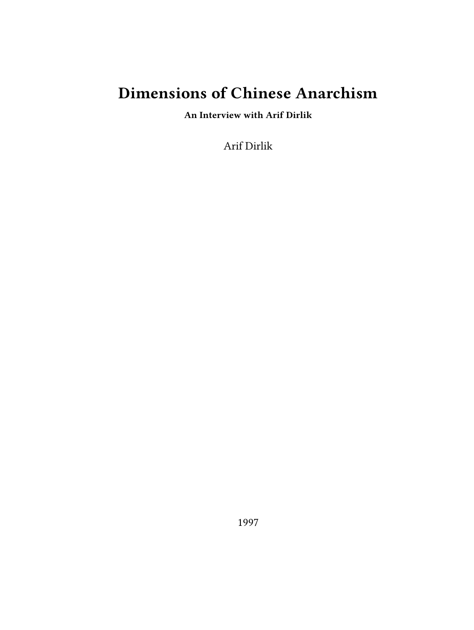# **Dimensions of Chinese Anarchism**

**An Interview with Arif Dirlik**

Arif Dirlik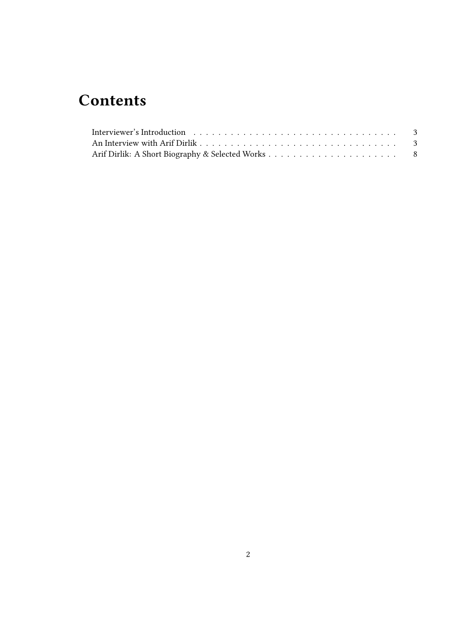## **Contents**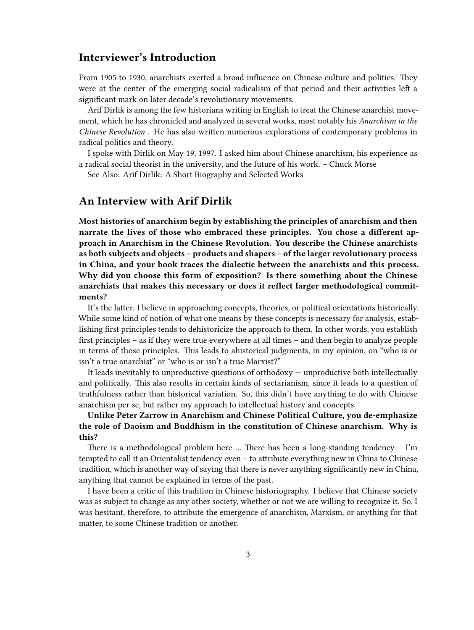## <span id="page-2-0"></span>**Interviewer's Introduction**

From 1905 to 1930, anarchists exerted a broad influence on Chinese culture and politics. They were at the center of the emerging social radicalism of that period and their activities left a significant mark on later decade's revolutionary movements.

Arif Dirlik is among the few historians writing in English to treat the Chinese anarchist movement, which he has chronicled and analyzed in several works, most notably his *Anarchism in the Chinese Revolution* . He has also written numerous explorations of contemporary problems in radical politics and theory.

I spoke with Dirlik on May 19, 1997. I asked him about Chinese anarchism, his experience as a radical social theorist in the university, and the future of his work. **~** Chuck Morse

See Also: Arif Dirlik: A Short Biography and Selected Works

### <span id="page-2-1"></span>**An Interview with Arif Dirlik**

**Most histories of anarchism begin by establishing the principles of anarchism and then narrate the lives of those who embraced these principles. You chose a different approach in Anarchism in the Chinese Revolution. You describe the Chinese anarchists as both subjects and objects – products and shapers – of the larger revolutionary process in China, and your book traces the dialectic between the anarchists and this process. Why did you choose this form of exposition? Is there something about the Chinese anarchists that makes this necessary or does it reflect larger methodological commitments?**

It's the latter. I believe in approaching concepts, theories, or political orientations historically. While some kind of notion of what one means by these concepts is necessary for analysis, establishing first principles tends to dehistoricize the approach to them. In other words, you establish first principles – as if they were true everywhere at all times – and then begin to analyze people in terms of those principles. This leads to ahistorical judgments, in my opinion, on "who is or isn't a true anarchist" or "who is or isn't a true Marxist?"

It leads inevitably to unproductive questions of orthodoxy — unproductive both intellectually and politically. This also results in certain kinds of sectarianism, since it leads to a question of truthfulness rather than historical variation. So, this didn't have anything to do with Chinese anarchism per se, but rather my approach to intellectual history and concepts.

#### **Unlike Peter Zarrow in Anarchism and Chinese Political Culture, you de-emphasize the role of Daoism and Buddhism in the constitution of Chinese anarchism. Why is this?**

There is a methodological problem here  $\dots$  There has been a long-standing tendency – I'm tempted to call it an Orientalist tendency even – to attribute everything new in China to Chinese tradition, which is another way of saying that there is never anything significantly new in China, anything that cannot be explained in terms of the past.

I have been a critic of this tradition in Chinese historiography. I believe that Chinese society was as subject to change as any other society, whether or not we are willing to recognize it. So, I was hesitant, therefore, to attribute the emergence of anarchism, Marxism, or anything for that matter, to some Chinese tradition or another.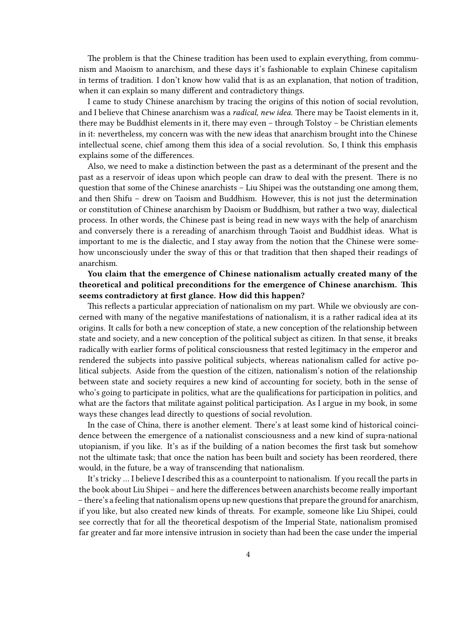The problem is that the Chinese tradition has been used to explain everything, from communism and Maoism to anarchism, and these days it's fashionable to explain Chinese capitalism in terms of tradition. I don't know how valid that is as an explanation, that notion of tradition, when it can explain so many different and contradictory things.

I came to study Chinese anarchism by tracing the origins of this notion of social revolution, and I believe that Chinese anarchism was a *radical, new idea.* There may be Taoist elements in it, there may be Buddhist elements in it, there may even – through Tolstoy – be Christian elements in it: nevertheless, my concern was with the new ideas that anarchism brought into the Chinese intellectual scene, chief among them this idea of a social revolution. So, I think this emphasis explains some of the differences.

Also, we need to make a distinction between the past as a determinant of the present and the past as a reservoir of ideas upon which people can draw to deal with the present. There is no question that some of the Chinese anarchists – Liu Shipei was the outstanding one among them, and then Shifu – drew on Taoism and Buddhism. However, this is not just the determination or constitution of Chinese anarchism by Daoism or Buddhism, but rather a two way, dialectical process. In other words, the Chinese past is being read in new ways with the help of anarchism and conversely there is a rereading of anarchism through Taoist and Buddhist ideas. What is important to me is the dialectic, and I stay away from the notion that the Chinese were somehow unconsciously under the sway of this or that tradition that then shaped their readings of anarchism.

**You claim that the emergence of Chinese nationalism actually created many of the theoretical and political preconditions for the emergence of Chinese anarchism. This seems contradictory at first glance. How did this happen?**

This reflects a particular appreciation of nationalism on my part. While we obviously are concerned with many of the negative manifestations of nationalism, it is a rather radical idea at its origins. It calls for both a new conception of state, a new conception of the relationship between state and society, and a new conception of the political subject as citizen. In that sense, it breaks radically with earlier forms of political consciousness that rested legitimacy in the emperor and rendered the subjects into passive political subjects, whereas nationalism called for active political subjects. Aside from the question of the citizen, nationalism's notion of the relationship between state and society requires a new kind of accounting for society, both in the sense of who's going to participate in politics, what are the qualifications for participation in politics, and what are the factors that militate against political participation. As I argue in my book, in some ways these changes lead directly to questions of social revolution.

In the case of China, there is another element. There's at least some kind of historical coincidence between the emergence of a nationalist consciousness and a new kind of supra-national utopianism, if you like. It's as if the building of a nation becomes the first task but somehow not the ultimate task; that once the nation has been built and society has been reordered, there would, in the future, be a way of transcending that nationalism.

It's tricky … I believe I described this as a counterpoint to nationalism. If you recall the parts in the book about Liu Shipei – and here the differences between anarchists become really important – there's a feeling that nationalism opens up new questions that prepare the ground for anarchism, if you like, but also created new kinds of threats. For example, someone like Liu Shipei, could see correctly that for all the theoretical despotism of the Imperial State, nationalism promised far greater and far more intensive intrusion in society than had been the case under the imperial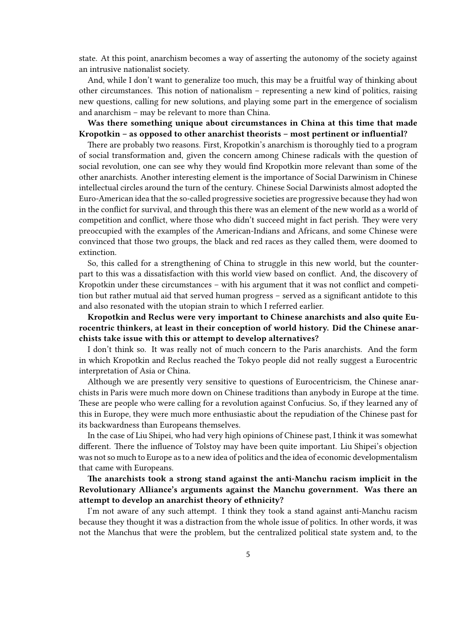state. At this point, anarchism becomes a way of asserting the autonomy of the society against an intrusive nationalist society.

And, while I don't want to generalize too much, this may be a fruitful way of thinking about other circumstances. This notion of nationalism – representing a new kind of politics, raising new questions, calling for new solutions, and playing some part in the emergence of socialism and anarchism – may be relevant to more than China.

#### **Was there something unique about circumstances in China at this time that made Kropotkin – as opposed to other anarchist theorists – most pertinent or influential?**

There are probably two reasons. First, Kropotkin's anarchism is thoroughly tied to a program of social transformation and, given the concern among Chinese radicals with the question of social revolution, one can see why they would find Kropotkin more relevant than some of the other anarchists. Another interesting element is the importance of Social Darwinism in Chinese intellectual circles around the turn of the century. Chinese Social Darwinists almost adopted the Euro-American idea that the so-called progressive societies are progressive because they had won in the conflict for survival, and through this there was an element of the new world as a world of competition and conflict, where those who didn't succeed might in fact perish. They were very preoccupied with the examples of the American-Indians and Africans, and some Chinese were convinced that those two groups, the black and red races as they called them, were doomed to extinction.

So, this called for a strengthening of China to struggle in this new world, but the counterpart to this was a dissatisfaction with this world view based on conflict. And, the discovery of Kropotkin under these circumstances – with his argument that it was not conflict and competition but rather mutual aid that served human progress – served as a significant antidote to this and also resonated with the utopian strain to which I referred earlier.

#### **Kropotkin and Reclus were very important to Chinese anarchists and also quite Eurocentric thinkers, at least in their conception of world history. Did the Chinese anarchists take issue with this or attempt to develop alternatives?**

I don't think so. It was really not of much concern to the Paris anarchists. And the form in which Kropotkin and Reclus reached the Tokyo people did not really suggest a Eurocentric interpretation of Asia or China.

Although we are presently very sensitive to questions of Eurocentricism, the Chinese anarchists in Paris were much more down on Chinese traditions than anybody in Europe at the time. These are people who were calling for a revolution against Confucius. So, if they learned any of this in Europe, they were much more enthusiastic about the repudiation of the Chinese past for its backwardness than Europeans themselves.

In the case of Liu Shipei, who had very high opinions of Chinese past, I think it was somewhat different. There the influence of Tolstoy may have been quite important. Liu Shipei's objection was not so much to Europe as to a new idea of politics and the idea of economic developmentalism that came with Europeans.

**The anarchists took a strong stand against the anti-Manchu racism implicit in the Revolutionary Alliance's arguments against the Manchu government. Was there an attempt to develop an anarchist theory of ethnicity?**

I'm not aware of any such attempt. I think they took a stand against anti-Manchu racism because they thought it was a distraction from the whole issue of politics. In other words, it was not the Manchus that were the problem, but the centralized political state system and, to the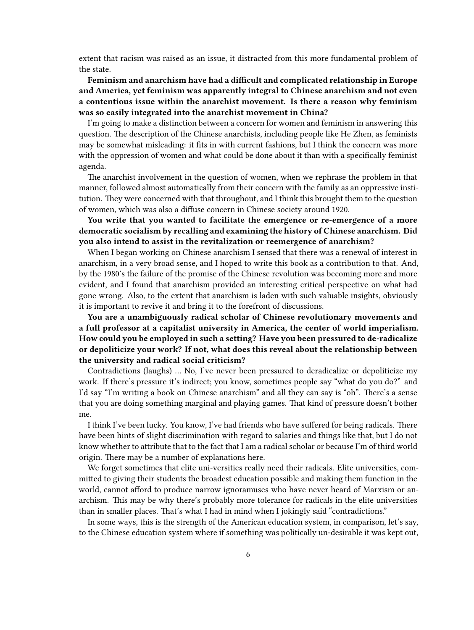extent that racism was raised as an issue, it distracted from this more fundamental problem of the state.

#### **Feminism and anarchism have had a difficult and complicated relationship in Europe and America, yet feminism was apparently integral to Chinese anarchism and not even a contentious issue within the anarchist movement. Is there a reason why feminism was so easily integrated into the anarchist movement in China?**

I'm going to make a distinction between a concern for women and feminism in answering this question. The description of the Chinese anarchists, including people like He Zhen, as feminists may be somewhat misleading: it fits in with current fashions, but I think the concern was more with the oppression of women and what could be done about it than with a specifically feminist agenda.

The anarchist involvement in the question of women, when we rephrase the problem in that manner, followed almost automatically from their concern with the family as an oppressive institution. They were concerned with that throughout, and I think this brought them to the question of women, which was also a diffuse concern in Chinese society around 1920.

#### **You write that you wanted to facilitate the emergence or re-emergence of a more democratic socialism by recalling and examining the history of Chinese anarchism. Did you also intend to assist in the revitalization or reemergence of anarchism?**

When I began working on Chinese anarchism I sensed that there was a renewal of interest in anarchism, in a very broad sense, and I hoped to write this book as a contribution to that. And, by the 1980′s the failure of the promise of the Chinese revolution was becoming more and more evident, and I found that anarchism provided an interesting critical perspective on what had gone wrong. Also, to the extent that anarchism is laden with such valuable insights, obviously it is important to revive it and bring it to the forefront of discussions.

#### **You are a unambiguously radical scholar of Chinese revolutionary movements and a full professor at a capitalist university in America, the center of world imperialism. How could you be employed in such a setting? Have you been pressured to de-radicalize or depoliticize your work? If not, what does this reveal about the relationship between the university and radical social criticism?**

Contradictions (laughs) … No, I've never been pressured to deradicalize or depoliticize my work. If there's pressure it's indirect; you know, sometimes people say "what do you do?" and I'd say "I'm writing a book on Chinese anarchism" and all they can say is "oh". There's a sense that you are doing something marginal and playing games. That kind of pressure doesn't bother me.

I think I've been lucky. You know, I've had friends who have suffered for being radicals. There have been hints of slight discrimination with regard to salaries and things like that, but I do not know whether to attribute that to the fact that I am a radical scholar or because I'm of third world origin. There may be a number of explanations here.

We forget sometimes that elite uni-versities really need their radicals. Elite universities, committed to giving their students the broadest education possible and making them function in the world, cannot afford to produce narrow ignoramuses who have never heard of Marxism or anarchism. This may be why there's probably more tolerance for radicals in the elite universities than in smaller places. That's what I had in mind when I jokingly said "contradictions."

In some ways, this is the strength of the American education system, in comparison, let's say, to the Chinese education system where if something was politically un-desirable it was kept out,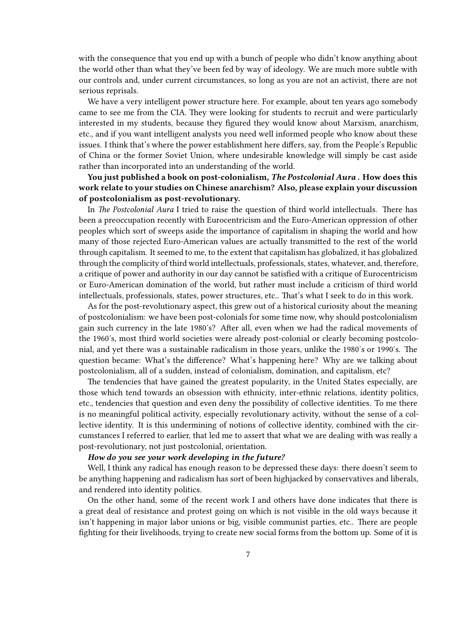with the consequence that you end up with a bunch of people who didn't know anything about the world other than what they've been fed by way of ideology. We are much more subtle with our controls and, under current circumstances, so long as you are not an activist, there are not serious reprisals.

We have a very intelligent power structure here. For example, about ten years ago somebody came to see me from the CIA. They were looking for students to recruit and were particularly interested in my students, because they figured they would know about Marxism, anarchism, etc., and if you want intelligent analysts you need well informed people who know about these issues. I think that's where the power establishment here differs, say, from the People's Republic of China or the former Soviet Union, where undesirable knowledge will simply be cast aside rather than incorporated into an understanding of the world.

**You just published a book on post-colonialism,** *The Postcolonial Aura* **. How does this work relate to your studies on Chinese anarchism? Also, please explain your discussion of postcolonialism as post-revolutionary.**

In *The Postcolonial Aura* I tried to raise the question of third world intellectuals. There has been a preoccupation recently with Eurocentricism and the Euro-American oppression of other peoples which sort of sweeps aside the importance of capitalism in shaping the world and how many of those rejected Euro-American values are actually transmitted to the rest of the world through capitalism. It seemed to me, to the extent that capitalism has globalized, it has globalized through the complicity of third world intellectuals, professionals, states, whatever, and, therefore, a critique of power and authority in our day cannot be satisfied with a critique of Eurocentricism or Euro-American domination of the world, but rather must include a criticism of third world intellectuals, professionals, states, power structures, etc.. That's what I seek to do in this work.

As for the post-revolutionary aspect, this grew out of a historical curiosity about the meaning of postcolonialism: we have been post-colonials for some time now, why should postcolonialism gain such currency in the late 1980′s? After all, even when we had the radical movements of the 1960′s, most third world societies were already post-colonial or clearly becoming postcolonial, and yet there was a sustainable radicalism in those years, unlike the 1980′s or 1990′s. The question became: What's the difference? What's happening here? Why are we talking about postcolonialism, all of a sudden, instead of colonialism, domination, and capitalism, etc?

The tendencies that have gained the greatest popularity, in the United States especially, are those which tend towards an obsession with ethnicity, inter-ethnic relations, identity politics, etc., tendencies that question and even deny the possibility of collective identities. To me there is no meaningful political activity, especially revolutionary activity, without the sense of a collective identity. It is this undermining of notions of collective identity, combined with the circumstances I referred to earlier, that led me to assert that what we are dealing with was really a post-revolutionary, not just postcolonial, orientation.

#### *How do you see your work developing in the future?*

Well, I think any radical has enough reason to be depressed these days: there doesn't seem to be anything happening and radicalism has sort of been highjacked by conservatives and liberals, and rendered into identity politics.

On the other hand, some of the recent work I and others have done indicates that there is a great deal of resistance and protest going on which is not visible in the old ways because it isn't happening in major labor unions or big, visible communist parties, etc.. There are people fighting for their livelihoods, trying to create new social forms from the bottom up. Some of it is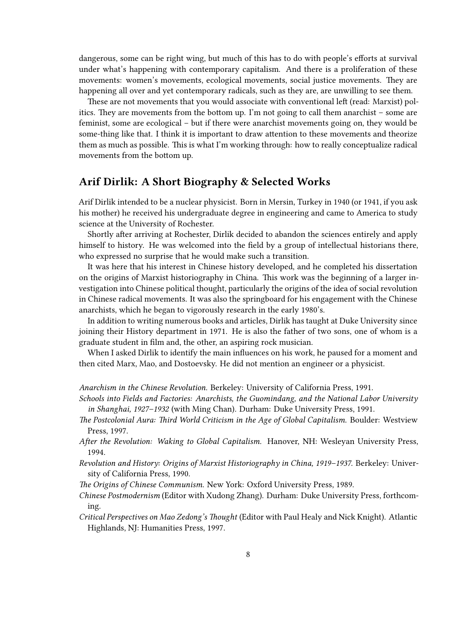dangerous, some can be right wing, but much of this has to do with people's efforts at survival under what's happening with contemporary capitalism. And there is a proliferation of these movements: women's movements, ecological movements, social justice movements. They are happening all over and yet contemporary radicals, such as they are, are unwilling to see them.

These are not movements that you would associate with conventional left (read: Marxist) politics. They are movements from the bottom up. I'm not going to call them anarchist – some are feminist, some are ecological – but if there were anarchist movements going on, they would be some-thing like that. I think it is important to draw attention to these movements and theorize them as much as possible. This is what I'm working through: how to really conceptualize radical movements from the bottom up.

### <span id="page-7-0"></span>**Arif Dirlik: A Short Biography & Selected Works**

Arif Dirlik intended to be a nuclear physicist. Born in Mersin, Turkey in 1940 (or 1941, if you ask his mother) he received his undergraduate degree in engineering and came to America to study science at the University of Rochester.

Shortly after arriving at Rochester, Dirlik decided to abandon the sciences entirely and apply himself to history. He was welcomed into the field by a group of intellectual historians there, who expressed no surprise that he would make such a transition.

It was here that his interest in Chinese history developed, and he completed his dissertation on the origins of Marxist historiography in China. This work was the beginning of a larger investigation into Chinese political thought, particularly the origins of the idea of social revolution in Chinese radical movements. It was also the springboard for his engagement with the Chinese anarchists, which he began to vigorously research in the early 1980's.

In addition to writing numerous books and articles, Dirlik has taught at Duke University since joining their History department in 1971. He is also the father of two sons, one of whom is a graduate student in film and, the other, an aspiring rock musician.

When I asked Dirlik to identify the main influences on his work, he paused for a moment and then cited Marx, Mao, and Dostoevsky. He did not mention an engineer or a physicist.

*Anarchism in the Chinese Revolution.* Berkeley: University of California Press, 1991.

- *Schools into Fields and Factories: Anarchists, the Guomindang, and the National Labor University in Shanghai, 1927–1932* (with Ming Chan)*.* Durham: Duke University Press, 1991.
- *The Postcolonial Aura: Third World Criticism in the Age of Global Capitalism.* Boulder: Westview Press, 1997.
- *After the Revolution: Waking to Global Capitalism.* Hanover, NH: Wesleyan University Press, 1994.
- *Revolution and History: Origins of Marxist Historiography in China, 1919–1937.* Berkeley: University of California Press, 1990.
- *The Origins of Chinese Communism.* New York: Oxford University Press, 1989.
- *Chinese Postmodernism* (Editor with Xudong Zhang). Durham: Duke University Press, forthcoming.
- *Critical Perspectives on Mao Zedong's Thought* (Editor with Paul Healy and Nick Knight). Atlantic Highlands, NJ: Humanities Press, 1997.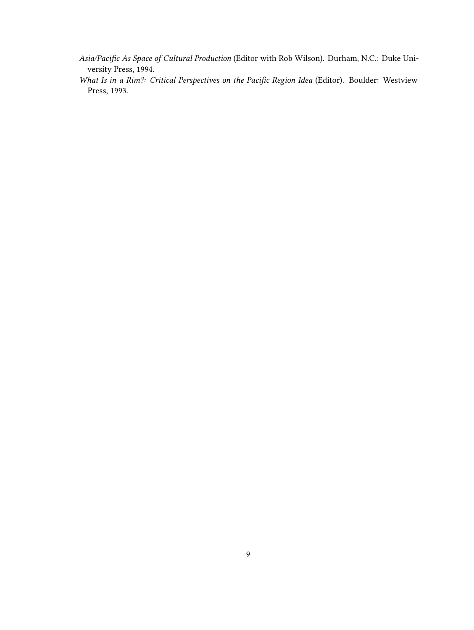*Asia/Pacific As Space of Cultural Production* (Editor with Rob Wilson). Durham, N.C.: Duke University Press, 1994.

*What Is in a Rim?: Critical Perspectives on the Pacific Region Idea* (Editor). Boulder: Westview Press, 1993.